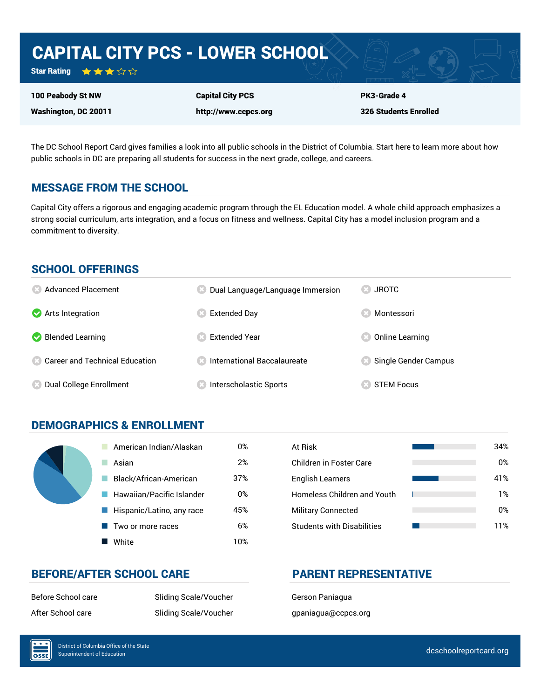# CAPITAL CITY PCS - LOWER SCHOOL

Star Rating ★★★☆☆

100 Peabody St NW

Washington, DC 20011

Capital City PCS http://www.ccpcs.org PK3-Grade 4 326 Students Enrolled

The DC School Report Card gives families a look into all public schools in the District of Columbia. Start here to learn more about how public schools in DC are preparing all students for success in the next grade, college, and careers.

## MESSAGE FROM THE SCHOOL

Capital City offers a rigorous and engaging academic program through the EL Education model. A whole child approach emphasizes a strong social curriculum, arts integration, and a focus on fitness and wellness. Capital City has a model inclusion program and a commitment to diversity.

### SCHOOL OFFERINGS

| <b>8</b> Advanced Placement             | Dual Language/Language Immersion | <b>JROTC</b>         |
|-----------------------------------------|----------------------------------|----------------------|
| Arts Integration                        | Extended Day                     | Montessori           |
| Blended Learning                        | <b>Extended Year</b>             | Online Learning      |
| <b>8 Career and Technical Education</b> | International Baccalaureate      | Single Gender Campus |
| Dual College Enrollment                 | Interscholastic Sports           | <b>STEM Focus</b>    |

## DEMOGRAPHICS & ENROLLMENT

| American Indian/Alaskan   | 0%  | At Risk                            |
|---------------------------|-----|------------------------------------|
| Asian                     | 2%  | <b>Children in Foster Care</b>     |
| Black/African-American    | 37% | <b>English Learners</b>            |
| Hawaiian/Pacific Islander | 0%  | <b>Homeless Children and Youth</b> |
| Hispanic/Latino, any race | 45% | <b>Military Connected</b>          |
| Two or more races         | 6%  | <b>Students with Disabilities</b>  |
| White                     | 10% |                                    |

| At Risk                            | 34% |
|------------------------------------|-----|
| Children in Foster Care            | 0%  |
| <b>English Learners</b>            | 41% |
| <b>Homeless Children and Youth</b> | 1%  |
| <b>Military Connected</b>          | 0%  |
| <b>Students with Disabilities</b>  | 11% |

## BEFORE/AFTER SCHOOL CARE PARENT REPRESENTATIVE

Before School care Sliding Scale/Voucher Gerson Paniagua After School care The Sliding Scale/Voucher and the paniagua@ccpcs.org